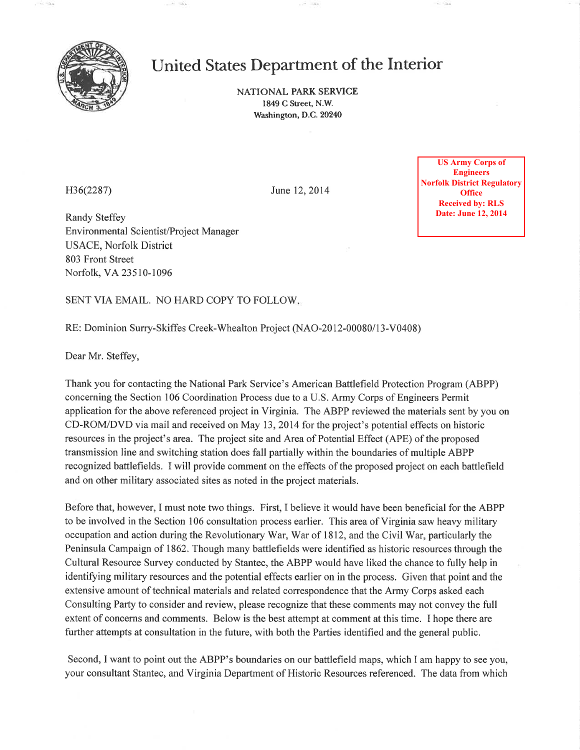

# United States Department of the Interior

NATIONAL PARK SERVICE 1849 C Street, N.W. Washington, D.C.20240

H36(2287) June 12,2014

Randy Steffey Environmental Scientist/Project Manager USACE, Norfolk District 803 Front Street Norfolk, VA23510-1096

**Engineers Norfolk District Regulatory Office Received by: RLS Date: June 12, 2014** 

SENT VIA EMAIL. NO HARD COPY TO FOLLOW

RE: Dominion Surry-Skiffes Creek-Whealton Project (NAO-2012-00080/13-V0408)

Dear Mr. Steffey,

Thank you for contacting the National Park Service's American Battlefield Protection Program (ABPP) concerning the Section 106 Coordination Process due to a U.S. Army Corps of Engineers Permit application for the above referenced project in Virginia, The ABPP reviewed the materials sent by you on CD-ROM/DVD via mail and received on May 13,2014 for the project's potential effects on historic resources in the project's area. The project site and Area of Potential Effect (APE) of the proposed transmission line and switching station does fall partially within the boundaries of multiple ABPP recognized battlefields. I will provide comment on the effects of the proposed project on each battlefield and on other military associated sites as noted in the project materials.

Before that, however, I must note two things. First, I believe it would have been benefìcial for the ABPP to be involved in the Section 106 consultation process earlier. This area of Virginia saw heavy military occupation and action during the Revolutionary War, War of I 8 12, and the Civil War, particularly the Peninsula Campaign of 1862. Though many battlefields were identified as historic resources through the Cultural Resource Survey conducted by Stantec, the ABPP would have liked the chance to fully help in identifying military resources and the potential effects earlier on in the process. Given that point and the extensive amount of technical materials and related correspondence that the Army Corps asked each Consulting Party to consider and review, please recognize that these comments may not convey the full extent of concerns and comments. Below is the best attempt at comment at this time. I hope there are further attempts at consultation in the future, with both the Parties identified and the general public. 1986(2287)<br>
1986 CO2287)<br>
1996 Remotion Records Project Manager<br>
1996 Remotion Bureau (12, 2014<br>
1996 Remotion Records Project Manager<br>
1996 Remotion Stantec, Bureau (12, 2014<br>
1997 Remotion Stantec, 1996 Remotion Records

Second, I want to point out the ABPP's boundaries on our battlefield maps, which I am happy to see you,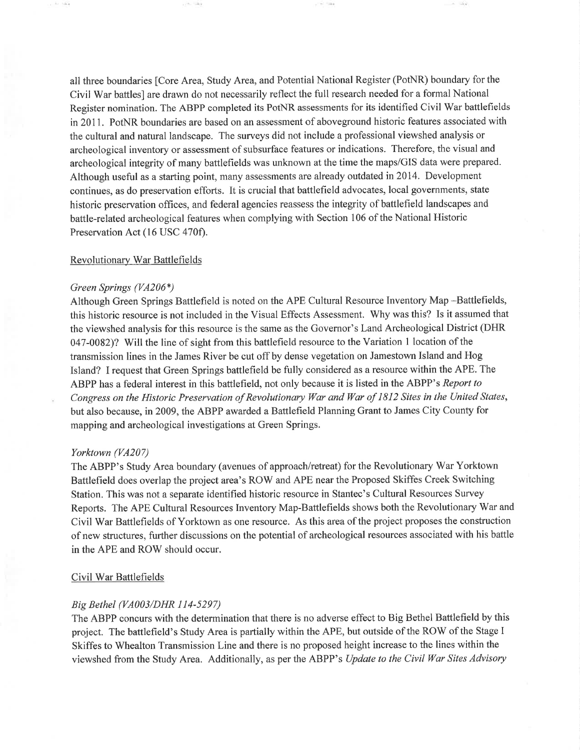all three boundaries [Core Area, Study Area, and Potential National Register (PotNR) boundary for the Civil War battles] are drawn do not necessarily reflect the full research needed for a formal National Register nomination. The ABPP completed its PotNR assessments for its identified Civil War battlefields in 2011. PotNR boundaries are based on an assessment of aboveground historic features associated with the cultural and natural landscape. The surveys did not include a professional viewshed analysis or archeological inventory or assessment of subsurface features or indications. Therefore, the visual and archeological integrity of many battlefields was unknown at the time the maps/GIS data were prepared. Although useful as a starting point, many assessments are already outdated in2014. Development continues, as do preservation efforts. It is crucial that battlefield advocates, local governments, state historic preservation offices, and federal agencies reassess the integrity of battlefield landscapes and battle-related archeological features when complying with Section 106 of the National Historic Preservation Act (16 USC 470f).

# Revolutionary War Battlefields

#### Green Springs  $(VA206*)$

Although Green Springs Battlefield is noted on the APE Cultural Resource Inventory Map -Battlefields, this historic resource is not included in the Visual Effects Assessment. Why was this? Is it assumed that the viewshed analysis for this resource is the same as the Govemor's Land Archeological District (DHR 047-0082)? Will the line of sight from this battlefield resource to the Variation I location of the transmission lines in the James River be cut off by dense vegetation on Jamestown Island and Hog Island? I request that Green Springs battlefield be fully considered as a resource within the APE. The ABPP has a federal interest in this battlefield, not only because it is listed in the ABPP's Report to Congress on the Historic Preservation of Revolutionary War and War of 1812 Sites in the United States, but also because, in 2009, the ABPP awarded a Battlefield Planning Grant to James City County for mapping and archeological investigations at Green Springs.

## Yorktown (VA207)

The ABPP's Study Area boundary (avenues of approach/retreat) for the Revolutionary War Yorktown Battlefield does overlap the project area's ROW and APE near the Proposed Skiffes Creek Switching Station. This was not a separate identified historic resource in Stantec's Cultural Resources Survey Reports. The APE Cultural Resources Inventory Map-Battlefields shows both the Revolutionary War and Civil War Battlefields of Yorktown as one resource. As this area of the project proposes the construction of new structures, further discussions on the potential of archeological resources associated with his battle in the APE and ROW should occur.

#### Civil War Battlefields

# Big Bethel (VA003/DHR 114-5297)

The ABPP concurs with the determination that there is no adverse effect to Big Bethel Battlefield by this project. The battlefield's Study Area is partially within the APE, but outside of the ROW of the Stage I Skiffes to Whealton Transmission Line and there is no proposed height increase to the lines within the viewshed from the Study Area. Additionally, as per the ABPP's Update to the Civil War Sites Advisory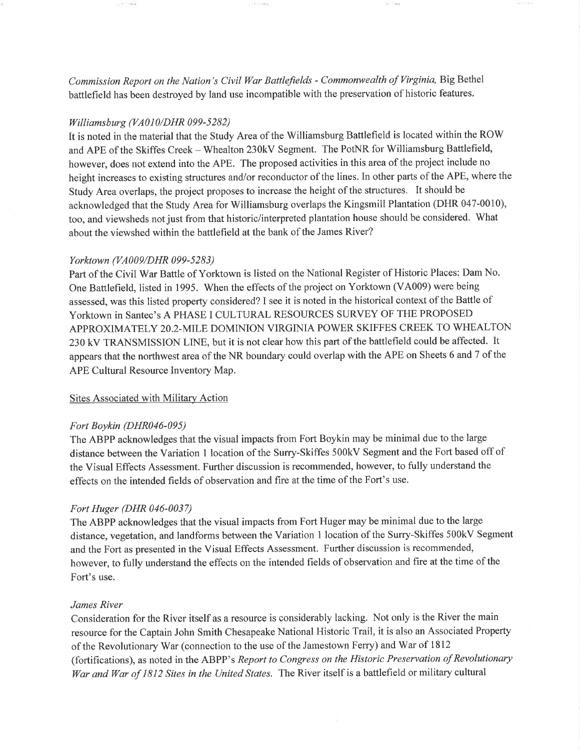Commission Report on the Nation's Civil War Battlefields - Commonwealth of Virginia, Big Bethel battlefield has been destroyed by land use incompatible with the preservation of historic features.

# Williamsburg (VA010/DHR 099-5282)

Letter the party

It is noted in the material that the Study Area of the Williamsburg Battlefield is located within the ROW and APE of the Skiffes Creek - Whealton 230kV Segment. The PotNR for Williamsburg Battlefield, however, does not extend into the APE. The proposed activities in this area of the project include no height increases to existing structures and/or reconductor of the lines. In other parts of the APE, where the Study Area overlaps, the project proposes to increase the height of the structures. It should be acknowledged that the Study Area for Williamsburg overlaps the Kingsmill Plantation (DHR 047-0010), too, and viewsheds not just from that historic/interpreted plantation house should be considered. What about the viewshed within the battlefield at the bank of the James River?

# Yorktown (VA009/DHR 099-5283)

Part of the Civil War Battle of Yorktown is listed on the National Register of Historic Places: Dam No. One Battlefield, listed in 1995. When the effects of the project on Yorktown (VA009) were being assessed, was this listed property considered? I see it is noted in the historical context of the Battle of Yorktown in Santec's A PHASE I CULTURAL RESOURCES SURVEY OF THE PROPOSED APPROXIMATELY 20.2-MTLE DOMINION VIRGINIA POWER SKIFFES CREEK TO WHEALTON <sup>230</sup>kV TRANSMISSION LINE, but it is not clear how this part of the battlefield could be affected. It appears that the northwest area of the NR boundary could overlap with the APE on Sheets 6 and 7 of the APE Cultural Resource Inventory Map.

# Sites Associated with Military Action

## Fort Boykin (DHR046-095)

The ABPP acknowledges that the visual impacts from Fort Boykin may be minimal due to the large distance between the Variation I location of the Surry-Skiffes 500kV Segment and the Foft based off of the Visual Effects Assessment. Further discussion is recommended, however, to fully understand the effects on the intended fields of observation and fire at the time of the Fort's use.

# Fort Huger (DHR 046-0037)

The ABPP acknowledges that the visual impacts from Fort Huger may be minimal due to the large distance, vegetation, and landforms between the Variation I location of the Surry-Skiffes 500kV Segment and the Fort as presented in the Visual Effects Assessment. Further discussion is recommended, however, to fully understand the effects on the intended fields of observation and fire at the time of the Fort's use.

## James River

Consideration for the River itself as a resource is considerably lacking. Not only is the River the main resource for the Captain John Smith Chesapeake National Historic Trail, it is also an Associated Properly of the Revolutionary War (connection to the use of the Jamestown Ferry) and War of l8l2 (fortifications), as noted in the ABPP's Report to Congress on the Historic Preservation of Revolutionary War and War of 1812 Sites in the United States. The River itself is a battlefield or military cultural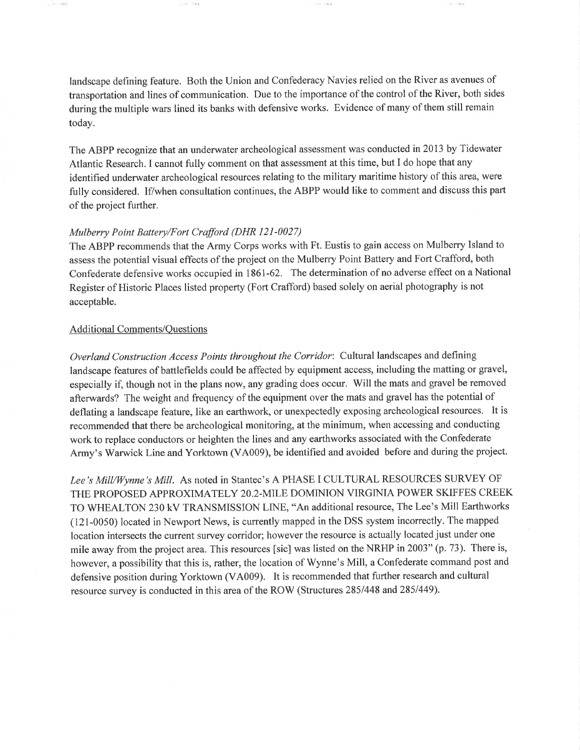landscape defining feature. Both the Union and Confederacy Navies relied on the River as avenues of transportation and lines of communication. Due to the importance of the control of the River, both sides during the multiple wars lined its banks with defensive works. Evidence of many of them still remain today.

The ABPP recognize that an underwater archeological assessment was conducted in 2013 by Tidewater Atlantic Research. I cannot fully comment on that assessment at this time, but I do hope that any identified underwater archeological resources relating to the military maritime history of this area, were fully considered. If/when consultation continues, the ABPP would like to comment and discuss this part of the project further.

## Mulberry Point Battery/Fort Crafford (DHR 121-0027)

The ABPP recommends that the Army Corps works with Ft. Eustis to gain access on Mulberry Island to assess the potential visual effects of the project on the Mulberry Point Battery and Fort Crafford, both Confederate defensive works occupied in 186l-62. The determination of no adverse effect on a National Register of Historic Places listed property (Fort Crafford) based solely on aerial photography is not acceptable.

# Additional Comments/Questions

**SCORE** 

Overland Construction Access Points throughout the Corridor: Cultural landscapes and defining landscape features of battlefields could be affected by equipment access, including the matting or gravel, especially if, though not in the plans now, any grading does occur. Will the mats and gravel be removed afterwards? The weight and frequency of the equipment over the mats and gravel has the potential of deflating a landscape feature, like an earthwork, or unexpectedly exposing archeological resources. It is recommended that there be archeological monitoring, at the minimum, wheu accessing and conducting work to replace conductors or heighten the lines and any earthworks associated with the Confederate Army's Warwick Line and Yorktown (VA009), be identified and avoided before and during the project.

Lee's Mill/Wynne's Mill. As noted in Stantec's A PHASE I CULTURAL RESOURCES SURVEY OF THE PROPOSED APPROXIMATELY 20.2-MTLE DOMINION VIRGINIA POWER SKIFFES CREEK TO WHEALTON 230 kV TRANSMISSION LINE, "An additional resource, The Lee's Mill Earthworks (121-0050) located in Newport News, is currently mapped in the DSS system incorrectly. The mapped location intersects the current survey corridor; however the resource is actually located just under one mile away from the project area. This resources [sic] was listed on the NRHP in 2003" (p.73). There is, however, a possibility that this is, rather, the location of Wynne's Mill, a Confederate command post and defensive position during Yorktown (VA009). It is recommended that further research and cultural resource survey is conducted in this area of the ROW (Structures 285/448 and 285/449).